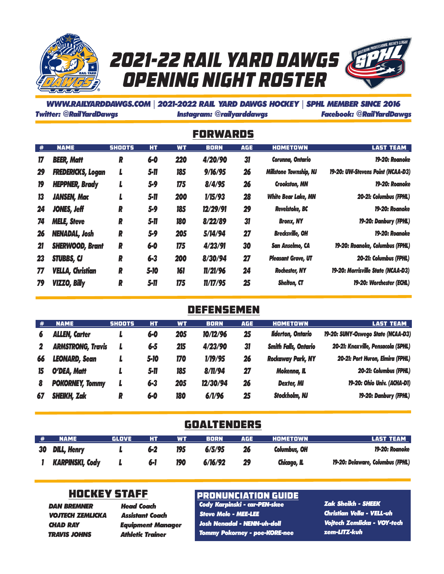





#### *WWW.RAILYARDDAWGS.COM* | *2021-2022 RAIL YARD DAWGS HOCKEY* | *SPHL MEMBER SINCE 2016 Twitter: @RailYardDawgs Instagram: @railyarddawgs Facebook: @RailYardDawgs*

Forwards

| #  | <b>NAME</b>              | <b>SHOOTS</b> | HT.      | <b>WT</b> | <b>BORN</b> | <b>AGE</b> | <b>HOMETOWN</b>               | <b>LAST TEAM</b>                   |
|----|--------------------------|---------------|----------|-----------|-------------|------------|-------------------------------|------------------------------------|
| 17 | <b>BEER, Matt</b>        | R             | $6-0$    | 220       | 4/20/90     | 31         | Corvnna, Ontario              | 19-20: Roanoke                     |
| 29 | <b>FREDERICKS, Logan</b> | L             | 5-11     | 185       | 9/16/95     | 26         | <b>Millstone Township, NJ</b> | 19-20: UW-Stevens Point (NCAA-D3)  |
| 19 | <b>HEPPNER, Brady</b>    | L             | $5 - 9$  | 175       | 8/4/95      | 26         | <b>Crookston, MN</b>          | 19-20: Roanoke                     |
| 13 | <b>JANSEN, Mac</b>       |               | $5 - 11$ | 200       | 1/15/93     | 28         | <b>White Bear Lake, MN</b>    | 20-21: Columbus (FPHL)             |
| 24 | <b>JONES, Jeff</b>       | R             | $5 - 9$  | 185       | 12/29/91    | 29         | <b>Revelstoke, BC</b>         | 19-20: Roanoke                     |
| 74 | <b>MELE, Steve</b>       | R             | 5-11     | 180       | 8/22/89     | 31         | <b>Bronx, NY</b>              | 19-20: Danbury (FPHL)              |
| 26 | <b>NENADAL, Josh</b>     | R             | $5 - 9$  | 205       | 5/14/94     | 27         | <b>Brecksville, OH</b>        | 19-20: Roanoke                     |
| 21 | <b>SHERWOOD, Brant</b>   | R             | $6 - 0$  | 175       | 4/23/91     | 30         | <b>San Anselmo, CA</b>        | 19-20: Roanoke, Columbus (FPHL)    |
| 23 | <b>STUBBS, CJ</b>        | R             | $6 - 3$  | 200       | 8/30/94     | 27         | <b>Pleasant Grove, UT</b>     | 20-21: Columbus (FPHL)             |
| 77 | <b>VELLA, Christian</b>  | R             | $5 - 10$ | 161       | 11/21/96    | 24         | <b>Rochester, NY</b>          | 19-20: Morrisville State (NCAA-D3) |
| 79 | <b>VIZZO, Billy</b>      | R             | $5 - 11$ | 175       | 11/17/95    | 25         | <b>Shelton, CT</b>            | 19-20: Worchester (ECHL)           |

#### **DEFENSEMEN**

| .# | <b>NAME</b>              | <b>SHOOTS</b> | HТ      | <b>WT</b> | <b>BORN</b> | <b>AGE</b> | <b>HOMETOWN</b>             | <b>LAST TEAM</b>                   |
|----|--------------------------|---------------|---------|-----------|-------------|------------|-----------------------------|------------------------------------|
|    | <b>ALLEN, Carter</b>     |               | $6 - 0$ | 205       | 10/12/96    | 25         | <b>Ilderton, Ontario</b>    | 19-20: SUNY-Oswego State (NCAA-D3) |
|    | <b>ARMSTRONG, Travis</b> |               | $6 - 5$ | 215       | 4/23/90     | 31         | <b>Smith Falls, Ontario</b> | 20-21: Knoxville, Pensacola (SPHL) |
| 66 | <b>LEONARD, Sean</b>     |               | 5-10    | 170       | 1/19/95     | 26         | <b>Rockaway Park, NY</b>    | 20-21: Port Huron, Elmira (FPHL)   |
| 15 | O'DEA, Matt              |               | 5-11    | 185       | 8/11/94     | 27         | Mokenna, IL                 | 20-21: Columbus (FPHL)             |
| 8  | <b>POKORNEY, Tommy</b>   |               | $6 - 3$ | 205       | 12/30/94    | 26         | <b>Dexter, MI</b>           | 19-20: Ohio Univ. (ACHA-D1)        |
| 67 | <b>SHEIKH, Zak</b>       | R             | 6-0     | 180       | 6/1/96      | 25         | <b>Stockholm, NJ</b>        | 19-20: Danbury (FPHL)              |

#### **GOALTENDERS**

| # | <b>NAME</b>           | GLOVE | нт  | WT  | <b>BORN</b> | AGE | HOMETOWN     | <b>LAST TEAM</b>                 |
|---|-----------------------|-------|-----|-----|-------------|-----|--------------|----------------------------------|
|   | <b>30 DILL, Henry</b> |       | 6-2 | 195 | 6/5/95      | 26  | Columbus, OH | 19-20: Roanoke                   |
|   | KARPINSKI, Cody       |       | 6-1 | 190 | 6/16/92     | 29  | Chicago, IL  | 19-20: Delaware, Columbus (FPHL) |

### Hockey Staff

*DAN BREMNER VOJTECH ZEMLICKA CHAD RAY TRAVIS JOHNS*

*Head Coach Assistant Coach Equipment Manager Athletic Trainer*

#### PRONUNCIATION GUIDE

*Cody Karpinski - car-PEN-skee Steve Mele - MEE-LEE Josh Nenadal - NENN-uh-doll Tommy Pokorney - poe-KORE-nee* *Zak Sheikh - SHEEK Christian Vella - VELL-uh Vojtech Zemlicka - VOY-tech zem-LITZ-kuh*